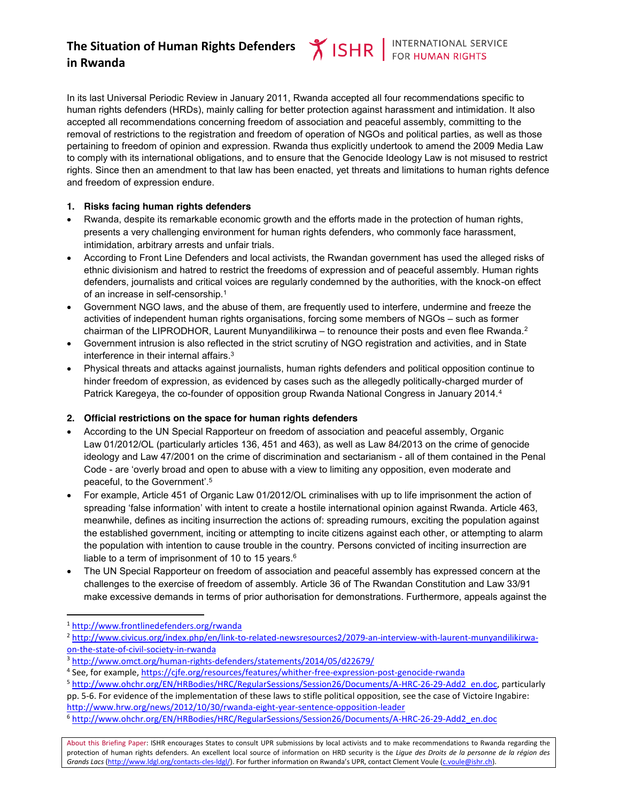# **The Situation of Human Rights Defenders in Rwanda**

In its last Universal Periodic Review in January 2011, Rwanda accepted all four recommendations specific to human rights defenders (HRDs), mainly calling for better protection against harassment and intimidation. It also accepted all recommendations concerning freedom of association and peaceful assembly, committing to the removal of restrictions to the registration and freedom of operation of NGOs and political parties, as well as those pertaining to freedom of opinion and expression. Rwanda thus explicitly undertook to amend the 2009 Media Law to comply with its international obligations, and to ensure that the Genocide Ideology Law is not misused to restrict rights. Since then an amendment to that law has been enacted, yet threats and limitations to human rights defence and freedom of expression endure.

### **1. Risks facing human rights defenders**

- Rwanda, despite its remarkable economic growth and the efforts made in the protection of human rights, presents a very challenging environment for human rights defenders, who commonly face harassment, intimidation, arbitrary arrests and unfair trials.
- According to Front Line Defenders and local activists, the Rwandan government has used the alleged risks of ethnic divisionism and hatred to restrict the freedoms of expression and of peaceful assembly. Human rights defenders, journalists and critical voices are regularly condemned by the authorities, with the knock-on effect of an increase in self-censorship.1
- Government NGO laws, and the abuse of them, are frequently used to interfere, undermine and freeze the activities of independent human rights organisations, forcing some members of NGOs – such as former chairman of the LIPRODHOR, Laurent Munyandilikirwa – to renounce their posts and even flee Rwanda.<sup>2</sup>
- Government intrusion is also reflected in the strict scrutiny of NGO registration and activities, and in State interference in their internal affairs. 3
- Physical threats and attacks against journalists, human rights defenders and political opposition continue to hinder freedom of expression, as evidenced by cases such as the allegedly politically-charged murder of Patrick Karegeya, the co-founder of opposition group Rwanda National Congress in January 2014.<sup>4</sup>

## **2. Official restrictions on the space for human rights defenders**

- x According to the UN Special Rapporteur on freedom of association and peaceful assembly, Organic Law 01/2012/OL (particularly articles 136, 451 and 463), as well as Law 84/2013 on the crime of genocide ideology and Law 47/2001 on the crime of discrimination and sectarianism - all of them contained in the Penal Code - are 'overly broad and open to abuse with a view to limiting any opposition, even moderate and peaceful, to the Government'. 5
- For example, Article 451 of Organic Law 01/2012/OL criminalises with up to life imprisonment the action of spreading 'false information' with intent to create a hostile international opinion against Rwanda. Article 463, meanwhile, defines as inciting insurrection the actions of: spreading rumours, exciting the population against the established government, inciting or attempting to incite citizens against each other, or attempting to alarm the population with intention to cause trouble in the country. Persons convicted of inciting insurrection are liable to a term of imprisonment of 10 to 15 years.<sup>6</sup>
- The UN Special Rapporteur on freedom of association and peaceful assembly has expressed concern at the challenges to the exercise of freedom of assembly. Article 36 of The Rwandan Constitution and Law 33/91 make excessive demands in terms of prior authorisation for demonstrations. Furthermore, appeals against the

About this Briefing Paper: ISHR encourages States to consult UPR submissions by local activists and to make recommendations to Rwanda regarding the protection of human rights defenders. An excellent local source of information on HRD security is the *Ligue des Droits de la personne de la région des Grands Lacs* (http://www.ldgl.org/contacts-cles-ldgl/). For further information on Rwanda's UPR, contact Clement Voule (c.voule@ishr.ch).

 <sup>1</sup> http://www.frontlinedefenders.org/rwanda

<sup>2</sup> http://www.civicus.org/index.php/en/link-to-related-newsresources2/2079-an-interview-with-laurent-munyandilikirwaon-the-state-of-civil-society-in-rwanda

<sup>3</sup> http://www.omct.org/human-rights-defenders/statements/2014/05/d22679/

<sup>4</sup> See, for example, https://cjfe.org/resources/features/whither-free-expression-post-genocide-rwanda

<sup>5</sup> http://www.ohchr.org/EN/HRBodies/HRC/RegularSessions/Session26/Documents/A-HRC-26-29-Add2\_en.doc, particularly pp. 5-6. For evidence of the implementation of these laws to stifle political opposition, see the case of Victoire Ingabire: http://www.hrw.org/news/2012/10/30/rwanda-eight-year-sentence-opposition-leader

<sup>6</sup> http://www.ohchr.org/EN/HRBodies/HRC/RegularSessions/Session26/Documents/A-HRC-26-29-Add2\_en.doc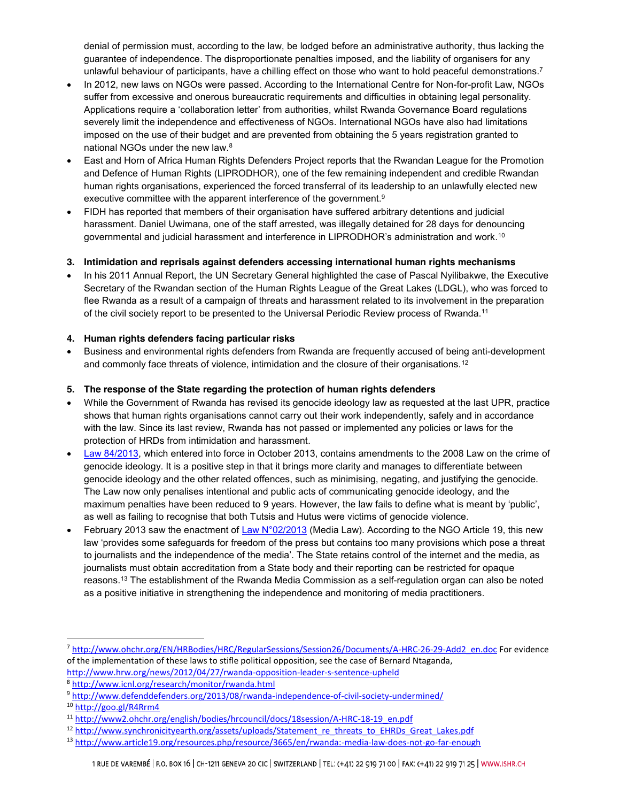denial of permission must, according to the law, be lodged before an administrative authority, thus lacking the guarantee of independence. The disproportionate penalties imposed, and the liability of organisers for any unlawful behaviour of participants, have a chilling effect on those who want to hold peaceful demonstrations.<sup>7</sup>

- In 2012, new laws on NGOs were passed. According to the International Centre for Non-for-profit Law, NGOs suffer from excessive and onerous bureaucratic requirements and difficulties in obtaining legal personality. Applications require a 'collaboration letter' from authorities, whilst Rwanda Governance Board regulations severely limit the independence and effectiveness of NGOs. International NGOs have also had limitations imposed on the use of their budget and are prevented from obtaining the 5 years registration granted to national NGOs under the new law.<sup>8</sup>
- East and Horn of Africa Human Rights Defenders Project reports that the Rwandan League for the Promotion and Defence of Human Rights (LIPRODHOR), one of the few remaining independent and credible Rwandan human rights organisations, experienced the forced transferral of its leadership to an unlawfully elected new executive committee with the apparent interference of the government.<sup>9</sup>
- FIDH has reported that members of their organisation have suffered arbitrary detentions and judicial harassment. Daniel Uwimana, one of the staff arrested, was illegally detained for 28 days for denouncing governmental and judicial harassment and interference in LIPRODHOR's administration and work.<sup>10</sup>

### **3. Intimidation and reprisals against defenders accessing international human rights mechanisms**

In his 2011 Annual Report, the UN Secretary General highlighted the case of Pascal Nyilibakwe, the Executive Secretary of the Rwandan section of the Human Rights League of the Great Lakes (LDGL), who was forced to flee Rwanda as a result of a campaign of threats and harassment related to its involvement in the preparation of the civil society report to be presented to the Universal Periodic Review process of Rwanda.11

### **4. Human rights defenders facing particular risks**

Business and environmental rights defenders from Rwanda are frequently accused of being anti-development and commonly face threats of violence, intimidation and the closure of their organisations.12

### **5. The response of the State regarding the protection of human rights defenders**

- While the Government of Rwanda has revised its genocide ideology law as requested at the last UPR, practice shows that human rights organisations cannot carry out their work independently, safely and in accordance with the law. Since its last review, Rwanda has not passed or implemented any policies or laws for the protection of HRDs from intimidation and harassment.
- Law 84/2013, which entered into force in October 2013, contains amendments to the 2008 Law on the crime of genocide ideology. It is a positive step in that it brings more clarity and manages to differentiate between genocide ideology and the other related offences, such as minimising, negating, and justifying the genocide. The Law now only penalises intentional and public acts of communicating genocide ideology, and the maximum penalties have been reduced to 9 years. However, the law fails to define what is meant by 'public', as well as failing to recognise that both Tutsis and Hutus were victims of genocide violence.
- February 2013 saw the enactment of Law N°02/2013 (Media Law). According to the NGO Article 19, this new law 'provides some safeguards for freedom of the press but contains too many provisions which pose a threat to journalists and the independence of the media'. The State retains control of the internet and the media, as journalists must obtain accreditation from a State body and their reporting can be restricted for opaque reasons.13 The establishment of the Rwanda Media Commission as a self-regulation organ can also be noted as a positive initiative in strengthening the independence and monitoring of media practitioners.

 <sup>7</sup> http://www.ohchr.org/EN/HRBodies/HRC/RegularSessions/Session26/Documents/A-HRC-26-29-Add2\_en.doc For evidence of the implementation of these laws to stifle political opposition, see the case of Bernard Ntaganda, http://www.hrw.org/news/2012/04/27/rwanda-opposition-leader-s-sentence-upheld

<sup>8</sup> http://www.icnl.org/research/monitor/rwanda.html

<sup>9</sup> http://www.defenddefenders.org/2013/08/rwanda-independence-of-civil-society-undermined/

<sup>10</sup> http://goo.gl/R4Rrm4

<sup>11</sup> http://www2.ohchr.org/english/bodies/hrcouncil/docs/18session/A-HRC-18-19\_en.pdf

<sup>&</sup>lt;sup>12</sup> http://www.synchronicityearth.org/assets/uploads/Statement\_re\_threats\_to\_EHRDs\_Great\_Lakes.pdf

<sup>13</sup> http://www.article19.org/resources.php/resource/3665/en/rwanda:-media-law-does-not-go-far-enough